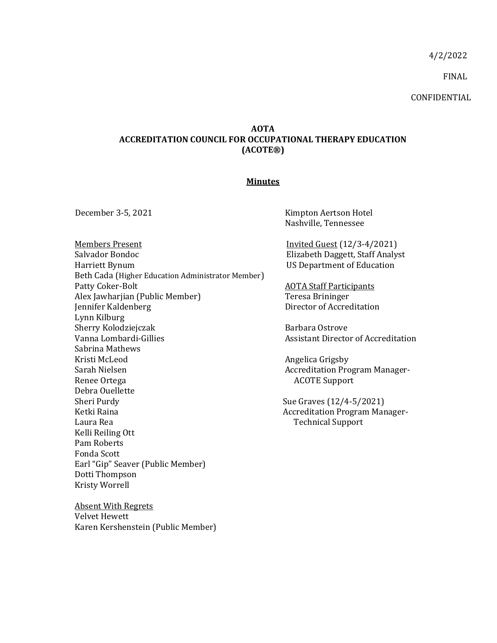4/2/2022

FINAL

CONFIDENTIAL

## **AOTA ACCREDITATION COUNCIL FOR OCCUPATIONAL THERAPY EDUCATION (ACOTE®)**

## **Minutes**

Members Present **Invited Guest** (12/3-4/2021) Salvador Bondoc Harriett Bynum Beth Cada (Higher Education Administrator Member) Patty Coker-Bolt Alex Jawharjian (Public Member) Jennifer Kaldenberg Lynn Kilburg Sherry Kolodziejczak Vanna Lombardi-Gillies Sabrina Mathews Kristi McLeod Sarah Nielsen Renee Ortega Debra Ouellette Sheri Purdy Ketki Raina Laura Rea Kelli Reiling Ott Pam Roberts Fonda Scott Earl "Gip" Seaver (Public Member) Dotti Thompson Kristy Worrell

Absent With Regrets Velvet Hewett Karen Kershenstein (Public Member)

December 3-5, 2021 Kimpton Aertson Hotel Nashville, Tennessee

> Elizabeth Daggett, Staff Analyst US Department of Education

AOTA Staff Participants Teresa Brininger Director of Accreditation

Barbara Ostrove Assistant Director of Accreditation

Angelica Grigsby Accreditation Program Manager-ACOTE Support

Sue Graves (12/4-5/2021) Accreditation Program Manager-Technical Support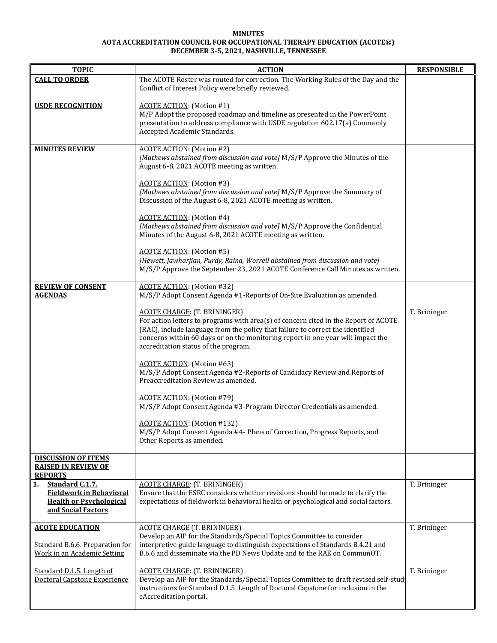## **MINUTES AOTA ACCREDITATION COUNCIL FOR OCCUPATIONAL THERAPY EDUCATION (ACOTE®) DECEMBER 3-5, 2021, NASHVILLE, TENNESSEE**

| <b>TOPIC</b>                                                                                                    | <b>ACTION</b>                                                                                                                                                                                                                                                                                                                           | <b>RESPONSIBLE</b> |
|-----------------------------------------------------------------------------------------------------------------|-----------------------------------------------------------------------------------------------------------------------------------------------------------------------------------------------------------------------------------------------------------------------------------------------------------------------------------------|--------------------|
| <b>CALL TO ORDER</b>                                                                                            | The ACOTE Roster was routed for correction. The Working Rules of the Day and the<br>Conflict of Interest Policy were briefly reviewed.                                                                                                                                                                                                  |                    |
| <b>USDE RECOGNITION</b>                                                                                         | <b>ACOTE ACTION:</b> (Motion #1)<br>M/P Adopt the proposed roadmap and timeline as presented in the PowerPoint<br>presentation to address compliance with USDE regulation 602.17(a) Commonly<br>Accepted Academic Standards.                                                                                                            |                    |
| <b>MINUTES REVIEW</b>                                                                                           | <b>ACOTE ACTION:</b> (Motion #2)<br>[Mathews abstained from discussion and vote] M/S/P Approve the Minutes of the<br>August 6-8, 2021 ACOTE meeting as written.                                                                                                                                                                         |                    |
|                                                                                                                 | <b>ACOTE ACTION:</b> (Motion #3)<br>[Mathews abstained from discussion and vote] M/S/P Approve the Summary of<br>Discussion of the August 6-8, 2021 ACOTE meeting as written.                                                                                                                                                           |                    |
|                                                                                                                 | <b>ACOTE ACTION:</b> (Motion #4)<br>[Mathews abstained from discussion and vote] M/S/P Approve the Confidential<br>Minutes of the August 6-8, 2021 ACOTE meeting as written.                                                                                                                                                            |                    |
|                                                                                                                 | <b>ACOTE ACTION:</b> (Motion #5)<br>[Hewett, Jawharjian, Purdy, Raina, Worrell abstained from discussion and vote]<br>M/S/P Approve the September 23, 2021 ACOTE Conference Call Minutes as written.                                                                                                                                    |                    |
| <b>REVIEW OF CONSENT</b><br><b>AGENDAS</b>                                                                      | <b>ACOTE ACTION:</b> (Motion #32)<br>M/S/P Adopt Consent Agenda #1-Reports of On-Site Evaluation as amended.                                                                                                                                                                                                                            |                    |
|                                                                                                                 | <b>ACOTE CHARGE: (T. BRININGER)</b><br>For action letters to programs with area(s) of concern cited in the Report of ACOTE<br>(RAC), include language from the policy that failure to correct the identified<br>concerns within 60 days or on the monitoring report in one year will impact the<br>accreditation status of the program. | T. Brininger       |
|                                                                                                                 | <b>ACOTE ACTION:</b> (Motion #63)<br>M/S/P Adopt Consent Agenda #2-Reports of Candidacy Review and Reports of<br>Preaccreditation Review as amended.                                                                                                                                                                                    |                    |
|                                                                                                                 | <b>ACOTE ACTION:</b> (Motion #79)<br>M/S/P Adopt Consent Agenda #3-Program Director Credentials as amended.                                                                                                                                                                                                                             |                    |
|                                                                                                                 | <b>ACOTE ACTION:</b> (Motion #132)<br>M/S/P Adopt Consent Agenda #4- Plans of Correction, Progress Reports, and<br>Other Reports as amended.                                                                                                                                                                                            |                    |
| <b>DISCUSSION OF ITEMS</b><br><b>RAISED IN REVIEW OF</b><br><b>REPORTS</b>                                      |                                                                                                                                                                                                                                                                                                                                         |                    |
| Standard C.1.7.<br>1.<br><b>Fieldwork in Behavioral</b><br><b>Health or Psychological</b><br>and Social Factors | <b>ACOTE CHARGE: (T. BRININGER)</b><br>Ensure that the ESRC considers whether revisions should be made to clarify the<br>expectations of fieldwork in behavioral health or psychological and social factors.                                                                                                                            | T. Brininger       |
| <b>ACOTE EDUCATION</b><br>Standard B.6.6. Preparation for<br>Work in an Academic Setting                        | <b>ACOTE CHARGE (T. BRININGER)</b><br>Develop an AIP for the Standards/Special Topics Committee to consider<br>interpretive guide language to distinguish expectations of Standards B.4.21 and<br>B.6.6 and disseminate via the PD News Update and to the RAE on CommunOT.                                                              | T. Brininger       |
| Standard D.1.5. Length of<br>Doctoral Capstone Experience                                                       | <b>ACOTE CHARGE: (T. BRININGER)</b><br>Develop an AIP for the Standards/Special Topics Committee to draft revised self-study<br>instructions for Standard D.1.5. Length of Doctoral Capstone for inclusion in the<br>eAccreditation portal.                                                                                             | T. Brininger       |